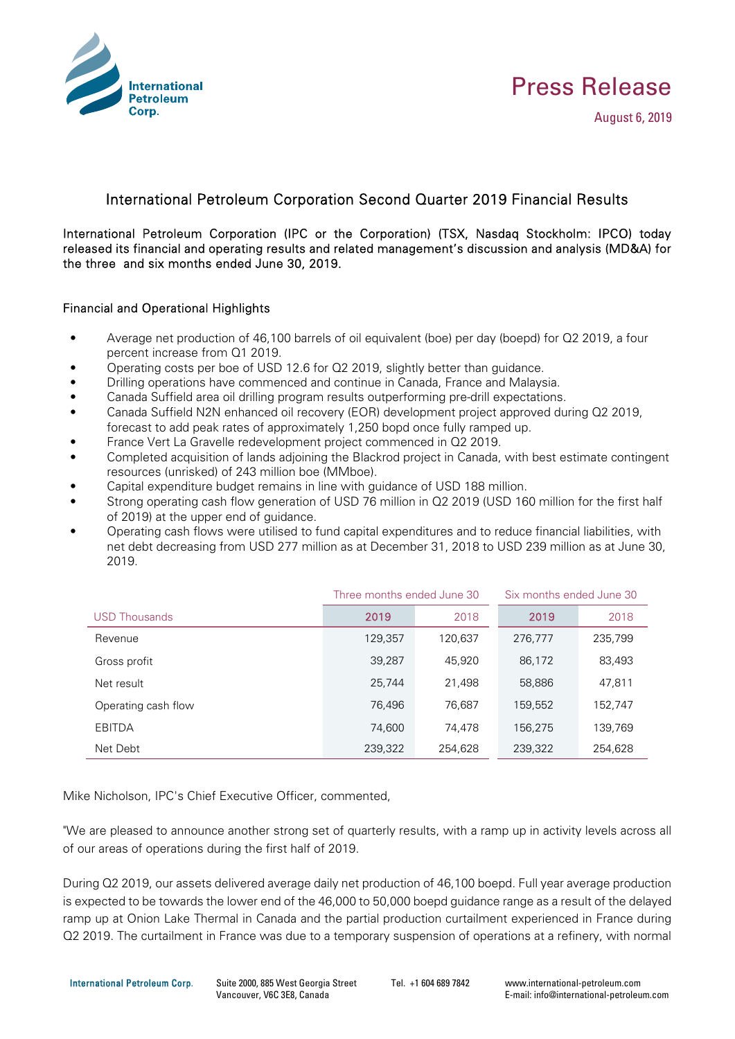

# Press Release

August 6, 2019

# International Petroleum Corporation Second Quarter 2019 Financial Results

International Petroleum Corporation (IPC or the Corporation) (TSX, Nasdaq Stockholm: IPCO) today released its financial and operating results and related management's discussion and analysis (MD&A) for the three and six months ended June 30, 2019.

# Financial and Operational Highlights

- Average net production of 46,100 barrels of oil equivalent (boe) per day (boepd) for Q2 2019, a four percent increase from Q1 2019.
- Operating costs per boe of USD 12.6 for Q2 2019, slightly better than guidance.
- Drilling operations have commenced and continue in Canada, France and Malaysia.
- Canada Suffield area oil drilling program results outperforming pre-drill expectations.
- Canada Suffield N2N enhanced oil recovery (EOR) development project approved during Q2 2019, forecast to add peak rates of approximately 1,250 bopd once fully ramped up.
- France Vert La Gravelle redevelopment project commenced in Q2 2019.
- Completed acquisition of lands adjoining the Blackrod project in Canada, with best estimate contingent resources (unrisked) of 243 million boe (MMboe).
- Capital expenditure budget remains in line with guidance of USD 188 million.
- Strong operating cash flow generation of USD 76 million in Q2 2019 (USD 160 million for the first half of 2019) at the upper end of guidance.
- Operating cash flows were utilised to fund capital expenditures and to reduce financial liabilities, with net debt decreasing from USD 277 million as at December 31, 2018 to USD 239 million as at June 30, 2019.

|                      | Three months ended June 30 |         | Six months ended June 30 |         |
|----------------------|----------------------------|---------|--------------------------|---------|
| <b>USD Thousands</b> | 2019                       | 2018    | 2019                     | 2018    |
| Revenue              | 129,357                    | 120,637 | 276,777                  | 235,799 |
| Gross profit         | 39,287                     | 45.920  | 86,172                   | 83,493  |
| Net result           | 25,744                     | 21,498  | 58,886                   | 47,811  |
| Operating cash flow  | 76,496                     | 76,687  | 159,552                  | 152,747 |
| EBITDA               | 74.600                     | 74.478  | 156.275                  | 139,769 |
| Net Debt             | 239,322                    | 254,628 | 239,322                  | 254,628 |

Mike Nicholson, IPC's Chief Executive Officer, commented,

"We are pleased to announce another strong set of quarterly results, with a ramp up in activity levels across all of our areas of operations during the first half of 2019.

During Q2 2019, our assets delivered average daily net production of 46,100 boepd. Full year average production is expected to be towards the lower end of the 46,000 to 50,000 boepd guidance range as a result of the delayed ramp up at Onion Lake Thermal in Canada and the partial production curtailment experienced in France during Q2 2019. The curtailment in France was due to a temporary suspension of operations at a refinery, with normal

International Petroleum Corp. Suite 2000, 885 West Georgia Street Vancouver, V6C 3E8, Canada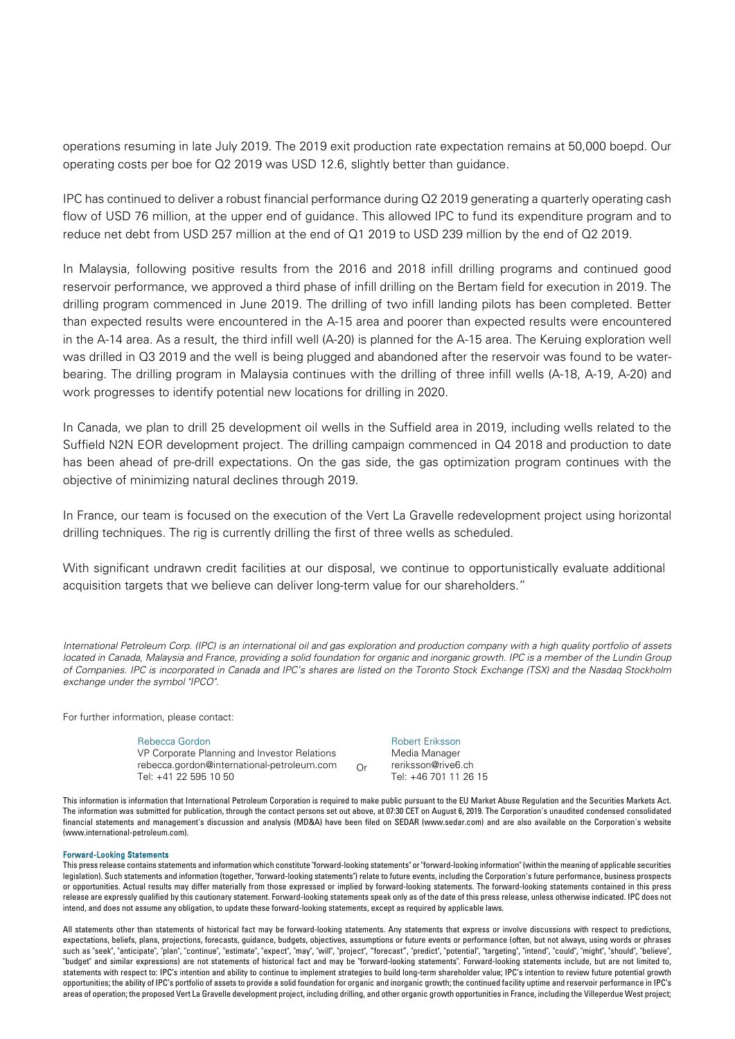operations resuming in late July 2019. The 2019 exit production rate expectation remains at 50,000 boepd. Our operating costs per boe for Q2 2019 was USD 12.6, slightly better than guidance.

IPC has continued to deliver a robust financial performance during Q2 2019 generating a quarterly operating cash flow of USD 76 million, at the upper end of guidance. This allowed IPC to fund its expenditure program and to reduce net debt from USD 257 million at the end of Q1 2019 to USD 239 million by the end of Q2 2019.

In Malaysia, following positive results from the 2016 and 2018 infill drilling programs and continued good reservoir performance, we approved a third phase of infill drilling on the Bertam field for execution in 2019. The drilling program commenced in June 2019. The drilling of two infill landing pilots has been completed. Better than expected results were encountered in the A-15 area and poorer than expected results were encountered in the A-14 area. As a result, the third infill well (A-20) is planned for the A-15 area. The Keruing exploration well was drilled in Q3 2019 and the well is being plugged and abandoned after the reservoir was found to be waterbearing. The drilling program in Malaysia continues with the drilling of three infill wells (A-18, A-19, A-20) and work progresses to identify potential new locations for drilling in 2020.

In Canada, we plan to drill 25 development oil wells in the Suffield area in 2019, including wells related to the Suffield N2N EOR development project. The drilling campaign commenced in Q4 2018 and production to date has been ahead of pre-drill expectations. On the gas side, the gas optimization program continues with the objective of minimizing natural declines through 2019.

In France, our team is focused on the execution of the Vert La Gravelle redevelopment project using horizontal drilling techniques. The rig is currently drilling the first of three wells as scheduled.

With significant undrawn credit facilities at our disposal, we continue to opportunistically evaluate additional acquisition targets that we believe can deliver long-term value for our shareholders."

*International Petroleum Corp. (IPC) is an international oil and gas exploration and production company with a high quality portfolio of assets*  located in Canada, Malaysia and France, providing a solid foundation for organic and inorganic growth. IPC is a member of the Lundin Group *of Companies. IPC is incorporated in Canada and IPC's shares are listed on the Toronto Stock Exchange (TSX) and the Nasdaq Stockholm exchange under the symbol "IPCO".* 

For further information, please contact:

Rebecca Gordon VP Corporate Planning and Investor Relations rebecca.gordon@international-petroleum.com Tel: +41 22 595 10 50

Robert Eriksson Media Manager reriksson@rive6.ch Tel: +46 701 11 26 15

This information is information that International Petroleum Corporation is required to make public pursuant to the EU Market Abuse Regulation and the Securities Markets Act. The information was submitted for publication, through the contact persons set out above, at 07:30 CET on August 6, 2019. The Corporation's unaudited condensed consolidated financial statements and management's discussion and analysis (MD&A) have been filed on SEDAR (www.sedar.com) and are also available on the Corporation's website (www.international-petroleum.com).

 $\bigcap_{r}$ 

## Forward-Looking Statements

This press release contains statements and information which constitute "forward-looking statements" or "forward-looking information" (within the meaning of applicable securities legislation). Such statements and information (together, "forward-looking statements") relate to future events, including the Corporation's future performance, business prospects or opportunities. Actual results may differ materially from those expressed or implied by forward-looking statements. The forward-looking statements contained in this press release are expressly qualified by this cautionary statement. Forward-looking statements speak only as of the date of this press release, unless otherwise indicated. IPC does not intend, and does not assume any obligation, to update these forward-looking statements, except as required by applicable laws.

All statements other than statements of historical fact may be forward-looking statements. Any statements that express or involve discussions with respect to predictions, expectations, beliefs, plans, projections, forecasts, guidance, budgets, objectives, assumptions or future events or performance (often, but not always, using words or phrases such as "seek", "anticipate", "plan", "continue", "estimate", "expect", "may", "will", "project", "forecast", "predict", "potential", "targeting", "intend", "could", "might", "should", "believe", "budget" and similar expressions) are not statements of historical fact and may be "forward-looking statements". Forward-looking statements include, but are not limited to, statements with respect to: IPC's intention and ability to continue to implement strategies to build long-term shareholder value; IPC's intention to review future potential growth opportunities; the ability of IPC's portfolio of assets to provide a solid foundation for organic and inorganic growth; the continued facility uptime and reservoir performance in IPC's areas of operation; the proposed Vert La Gravelle development project, including drilling, and other organic growth opportunities in France, including the Villeperdue West project;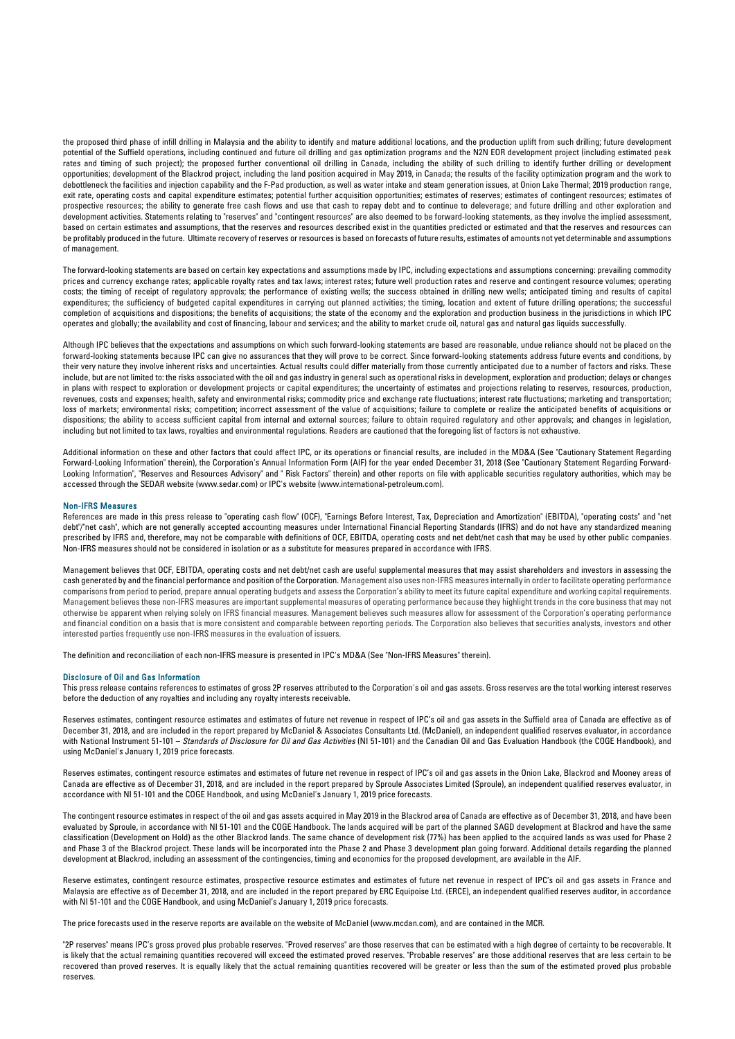the proposed third phase of infill drilling in Malaysia and the ability to identify and mature additional locations, and the production uplift from such drilling; future development potential of the Suffield operations, including continued and future oil drilling and gas optimization programs and the N2N EOR development project (including estimated peak rates and timing of such project); the proposed further conventional oil drilling in Canada, including the ability of such drilling to identify further drilling or development opportunities; development of the Blackrod project, including the land position acquired in May 2019, in Canada; the results of the facility optimization program and the work to debottleneck the facilities and injection capability and the F-Pad production, as well as water intake and steam generation issues, at Onion Lake Thermal; 2019 production range, exit rate, operating costs and capital expenditure estimates; potential further acquisition opportunities; estimates of reserves; estimates of contingent resources; estimates of prospective resources; the ability to generate free cash flows and use that cash to repay debt and to continue to deleverage; and future drilling and other exploration and development activities. Statements relating to "reserves" and "contingent resources" are also deemed to be forward-looking statements, as they involve the implied assessment, based on certain estimates and assumptions, that the reserves and resources described exist in the quantities predicted or estimated and that the reserves and resources can be profitably produced in the future. Ultimate recovery of reserves or resources is based on forecasts of future results, estimates of amounts not yet determinable and assumptions of management.

The forward-looking statements are based on certain key expectations and assumptions made by IPC, including expectations and assumptions concerning: prevailing commodity prices and currency exchange rates; applicable royalty rates and tax laws; interest rates; future well production rates and reserve and contingent resource volumes; operating costs; the timing of receipt of regulatory approvals; the performance of existing wells; the success obtained in drilling new wells; anticipated timing and results of capital expenditures; the sufficiency of budgeted capital expenditures in carrying out planned activities; the timing, location and extent of future drilling operations; the successful completion of acquisitions and dispositions; the benefits of acquisitions; the state of the economy and the exploration and production business in the jurisdictions in which IPC operates and globally; the availability and cost of financing, labour and services; and the ability to market crude oil, natural gas and natural gas liquids successfully.

Although IPC believes that the expectations and assumptions on which such forward-looking statements are based are reasonable, undue reliance should not be placed on the forward-looking statements because IPC can give no assurances that they will prove to be correct. Since forward-looking statements address future events and conditions, by their very nature they involve inherent risks and uncertainties. Actual results could differ materially from those currently anticipated due to a number of factors and risks. These include, but are not limited to: the risks associated with the oil and gas industry in general such as operational risks in development, exploration and production; delays or changes in plans with respect to exploration or development projects or capital expenditures; the uncertainty of estimates and projections relating to reserves, resources, production, revenues, costs and expenses; health, safety and environmental risks; commodity price and exchange rate fluctuations; interest rate fluctuations; marketing and transportation; loss of markets; environmental risks; competition; incorrect assessment of the value of acquisitions; failure to complete or realize the anticipated benefits of acquisitions or dispositions; the ability to access sufficient capital from internal and external sources; failure to obtain required regulatory and other approvals; and changes in legislation, including but not limited to tax laws, royalties and environmental regulations. Readers are cautioned that the foregoing list of factors is not exhaustive.

Additional information on these and other factors that could affect IPC, or its operations or financial results, are included in the MD&A (See "Cautionary Statement Regarding Forward-Looking Information" therein), the Corporation's Annual Information Form (AIF) for the year ended December 31, 2018 (See "Cautionary Statement Regarding Forward-Looking Information", "Reserves and Resources Advisory" and " Risk Factors" therein) and other reports on file with applicable securities regulatory authorities, which may be accessed through the SEDAR website (www.sedar.com) or IPC's website (www.international-petroleum.com).

## Non-IFRS Measures

References are made in this press release to "operating cash flow" (OCF), "Earnings Before Interest, Tax, Depreciation and Amortization" (EBITDA), "operating costs" and "net debt"/"net cash", which are not generally accepted accounting measures under International Financial Reporting Standards (IFRS) and do not have any standardized meaning prescribed by IFRS and, therefore, may not be comparable with definitions of OCF, EBITDA, operating costs and net debt/net cash that may be used by other public companies. Non-IFRS measures should not be considered in isolation or as a substitute for measures prepared in accordance with IFRS.

Management believes that OCF, EBITDA, operating costs and net debt/net cash are useful supplemental measures that may assist shareholders and investors in assessing the cash generated by and the financial performance and position of the Corporation. Management also uses non-IFRS measures internally in order to facilitate operating performance comparisons from period to period, prepare annual operating budgets and assess the Corporation's ability to meet its future capital expenditure and working capital requirements. Management believes these non-IFRS measures are important supplemental measures of operating performance because they highlight trends in the core business that may not otherwise be apparent when relying solely on IFRS financial measures. Management believes such measures allow for assessment of the Corporation's operating performance and financial condition on a basis that is more consistent and comparable between reporting periods. The Corporation also believes that securities analysts, investors and other interested parties frequently use non-IFRS measures in the evaluation of issuers.

The definition and reconciliation of each non-IFRS measure is presented in IPC's MD&A (See "Non-IFRS Measures" therein).

#### Disclosure of Oil and Gas Information

This press release contains references to estimates of gross 2P reserves attributed to the Corporation's oil and gas assets. Gross reserves are the total working interest reserves before the deduction of any royalties and including any royalty interests receivable.

Reserves estimates, contingent resource estimates and estimates of future net revenue in respect of IPC's oil and gas assets in the Suffield area of Canada are effective as of December 31, 2018, and are included in the report prepared by McDaniel & Associates Consultants Ltd. (McDaniel), an independent qualified reserves evaluator, in accordance with National Instrument 51-101 – Standards of Disclosure for Oil and Gas Activities (NI 51-101) and the Canadian Oil and Gas Evaluation Handbook (the COGE Handbook), and using McDaniel's January 1, 2019 price forecasts.

Reserves estimates, contingent resource estimates and estimates of future net revenue in respect of IPC's oil and gas assets in the Onion Lake, Blackrod and Mooney areas of Canada are effective as of December 31, 2018, and are included in the report prepared by Sproule Associates Limited (Sproule), an independent qualified reserves evaluator, in accordance with NI 51-101 and the COGE Handbook, and using McDaniel's January 1, 2019 price forecasts.

The contingent resource estimates in respect of the oil and gas assets acquired in May 2019 in the Blackrod area of Canada are effective as of December 31, 2018, and have been evaluated by Sproule, in accordance with NI 51-101 and the COGE Handbook. The lands acquired will be part of the planned SAGD development at Blackrod and have the same classification (Development on Hold) as the other Blackrod lands. The same chance of development risk (77%) has been applied to the acquired lands as was used for Phase 2 and Phase 3 of the Blackrod project. These lands will be incorporated into the Phase 2 and Phase 3 development plan going forward. Additional details regarding the planned development at Blackrod, including an assessment of the contingencies, timing and economics for the proposed development, are available in the AIF.

Reserve estimates, contingent resource estimates, prospective resource estimates and estimates of future net revenue in respect of IPC's oil and gas assets in France and Malaysia are effective as of December 31, 2018, and are included in the report prepared by ERC Equipoise Ltd. (ERCE), an independent qualified reserves auditor, in accordance with NJ 51-101 and the COGE Handbook, and using McDaniel's January 1, 2019 price forecasts.

The price forecasts used in the reserve reports are available on the website of McDaniel (www.mcdan.com), and are contained in the MCR.

"2P reserves" means IPC's gross proved plus probable reserves. "Proved reserves" are those reserves that can be estimated with a high degree of certainty to be recoverable. It is likely that the actual remaining quantities recovered will exceed the estimated proved reserves. "Probable reserves" are those additional reserves that are less certain to be recovered than proved reserves. It is equally likely that the actual remaining quantities recovered will be greater or less than the sum of the estimated proved plus probable reserves.